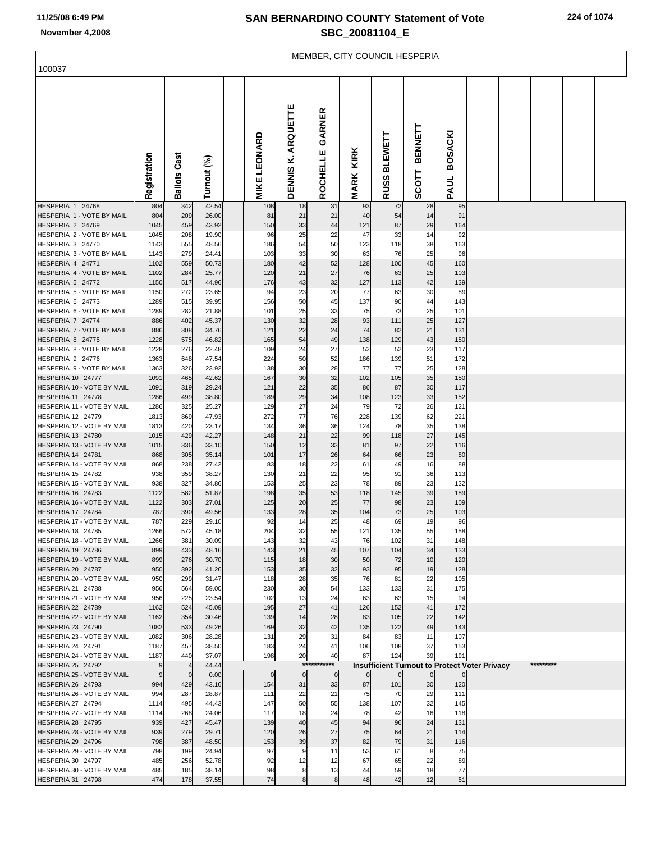## **SAN BERNARDINO COUNTY Statement of Vote November 4,2008 SBC\_20081104\_E**

| 100037                                                 | MEMBER, CITY COUNCIL HESPERIA |                     |                |  |                     |                                 |                    |                     |                                                      |                                |                        |  |  |           |  |
|--------------------------------------------------------|-------------------------------|---------------------|----------------|--|---------------------|---------------------------------|--------------------|---------------------|------------------------------------------------------|--------------------------------|------------------------|--|--|-----------|--|
|                                                        | Registration                  | <b>Ballots Cast</b> | Turnout (%)    |  | <b>MIKE LEONARD</b> | ARQUETTE<br>×,<br><b>DENNIS</b> | GARNER<br>ROCHELLE | KIRK<br><b>MARK</b> | <b>BLEWETT</b><br>RUSSI                              | <b>BENNETT</b><br><b>SCOTT</b> | <b>BOSACKI</b><br>PAUL |  |  |           |  |
| HESPERIA 1 24768<br>HESPERIA 1 - VOTE BY MAIL          | 804<br>804                    | 342<br>209          | 42.54<br>26.00 |  | 108<br>81           | 18<br>21                        | 31<br>21           | 93<br>40            | 72<br>54                                             | 28<br>14                       | 95<br>91               |  |  |           |  |
| HESPERIA 2 24769                                       | 1045                          | 459                 | 43.92          |  | 150                 | 33                              | 44                 | 121                 | 87                                                   | 29                             | 164                    |  |  |           |  |
| HESPERIA 2 - VOTE BY MAIL                              | 1045                          | 208                 | 19.90          |  | 96                  | 25                              | 22                 | 47                  | 33                                                   | 14                             | 92                     |  |  |           |  |
| HESPERIA 3 24770                                       | 1143                          | 555                 | 48.56          |  | 186                 | 54                              | 50                 | 123                 | 118                                                  | 38                             | 163                    |  |  |           |  |
| HESPERIA 3 - VOTE BY MAIL<br>HESPERIA 4 24771          | 1143<br>1102                  | 279<br>559          | 24.41<br>50.73 |  | 103<br>180          | 33<br>42                        | 30<br>52           | 63<br>128           | 76<br>100                                            | 25<br>45                       | 96<br>160              |  |  |           |  |
| HESPERIA 4 - VOTE BY MAIL                              | 1102                          | 284                 | 25.77          |  | 120                 | 21                              | 27                 | 76                  | 63                                                   | 25                             | 103                    |  |  |           |  |
| HESPERIA 5 24772                                       | 1150                          | 517                 | 44.96          |  | 176                 | 43                              | 32                 | 127                 | 113                                                  | 42                             | 139                    |  |  |           |  |
| HESPERIA 5 - VOTE BY MAIL                              | 1150                          | 272                 | 23.65          |  | 94                  | 23                              | 20                 | 77                  | 63                                                   | 30                             | 89                     |  |  |           |  |
| HESPERIA 6 24773                                       | 1289                          | 515                 | 39.95          |  | 156                 | 50                              | 45                 | 137                 | 90                                                   | 44                             | 143                    |  |  |           |  |
| HESPERIA 6 - VOTE BY MAIL<br>HESPERIA 7 24774          | 1289<br>886                   | 282<br>402          | 21.88<br>45.37 |  | 101<br>130          | 25<br>32                        | 33<br>28           | 75<br>93            | 73<br>111                                            | 25<br>25                       | 101<br>127             |  |  |           |  |
| HESPERIA 7 - VOTE BY MAIL                              | 886                           | 308                 | 34.76          |  | 121                 | 22                              | 24                 | 74                  | 82                                                   | 21                             | 131                    |  |  |           |  |
| HESPERIA 8 24775                                       | 1228                          | 575                 | 46.82          |  | 165                 | 54                              | 49                 | 138                 | 129                                                  | 43                             | 150                    |  |  |           |  |
| HESPERIA 8 - VOTE BY MAIL                              | 1228                          | 276                 | 22.48          |  | 109                 | 24                              | 27                 | 52                  | 52                                                   | 23                             | 117                    |  |  |           |  |
| HESPERIA 9 24776                                       | 1363                          | 648                 | 47.54          |  | 224                 | 50                              | 52                 | 186                 | 139                                                  | 51                             | 172                    |  |  |           |  |
| HESPERIA 9 - VOTE BY MAIL<br>HESPERIA 10 24777         | 1363<br>1091                  | 326<br>465          | 23.92<br>42.62 |  | 138<br>167          | 30<br>30                        | 28<br>32           | 77<br>102           | 77<br>105                                            | 25<br>35                       | 128<br>150             |  |  |           |  |
| HESPERIA 10 - VOTE BY MAIL                             | 1091                          | 319                 | 29.24          |  | 121                 | 22                              | 35                 | 86                  | 87                                                   | 30                             | 117                    |  |  |           |  |
| HESPERIA 11 24778                                      | 1286                          | 499                 | 38.80          |  | 189                 | 29                              | 34                 | 108                 | 123                                                  | 33                             | 152                    |  |  |           |  |
| HESPERIA 11 - VOTE BY MAIL                             | 1286                          | 325                 | 25.27          |  | 129                 | 27                              | 24                 | 79                  | 72                                                   | 26                             | 121                    |  |  |           |  |
| HESPERIA 12 24779                                      | 1813                          | 869                 | 47.93          |  | 272                 | 77                              | 76                 | 228                 | 139                                                  | 62                             | 221                    |  |  |           |  |
| HESPERIA 12 - VOTE BY MAIL<br>HESPERIA 13 24780        | 1813<br>1015                  | 420<br>429          | 23.17<br>42.27 |  | 134<br>148          | 36<br>21                        | 36<br>22           | 124<br>99           | 78<br>118                                            | 35<br>27                       | 138<br>145             |  |  |           |  |
| HESPERIA 13 - VOTE BY MAIL                             | 1015                          | 336                 | 33.10          |  | 150                 | 12                              | 33                 | 81                  | 97                                                   | 22                             | 116                    |  |  |           |  |
| HESPERIA 14 24781                                      | 868                           | 305                 | 35.14          |  | 101                 | 17                              | 26                 | 64                  | 66                                                   | 23                             | 80                     |  |  |           |  |
| HESPERIA 14 - VOTE BY MAIL                             | 868                           | 238                 | 27.42          |  | 83                  | 18                              | 22                 | 61                  | 49                                                   | 16                             | 88                     |  |  |           |  |
| <b>HESPERIA 15 24782</b><br>HESPERIA 15 - VOTE BY MAIL | 938                           | 359                 | 38.27          |  | 130                 | 21                              | 22                 | 95                  | 91                                                   | 36                             | 113                    |  |  |           |  |
| HESPERIA 16 24783                                      | 938<br>1122                   | 327<br>582          | 34.86<br>51.87 |  | 153<br>198          | 25<br>35                        | 23<br>53           | 78<br>118           | 89<br>145                                            | 23<br>39                       | 132<br>189             |  |  |           |  |
| HESPERIA 16 - VOTE BY MAIL                             | 1122                          | 303                 | 27.01          |  | 125                 | 20                              | 25                 | 77                  | 98                                                   | 23                             | 109                    |  |  |           |  |
| HESPERIA 17 24784                                      | 787                           | 390                 | 49.56          |  | 133                 | 28                              | 35                 | 104                 | 73                                                   | 25                             | 103                    |  |  |           |  |
| HESPERIA 17 - VOTE BY MAIL                             | 787                           | 229                 | 29.10          |  | 92                  | 14                              | 25                 | 48                  | 69                                                   | 19                             | 96                     |  |  |           |  |
| HESPERIA 18 24785<br>HESPERIA 18 - VOTE BY MAIL        | 1266<br>1266                  | 572<br>381          | 45.18<br>30.09 |  | 204<br>143          | 32<br>32                        | 55<br>43           | 121<br>76           | 135<br>102                                           | 55<br>31                       | 158<br>148             |  |  |           |  |
| HESPERIA 19 24786                                      | 899                           | 433                 | 48.16          |  | 143                 | 21                              | 45                 | 107                 | 104                                                  | 34                             | 133                    |  |  |           |  |
| HESPERIA 19 - VOTE BY MAIL                             | 899                           | 276                 | 30.70          |  | 115                 | 18                              | 30                 | 50                  | 72                                                   | 10                             | 120                    |  |  |           |  |
| HESPERIA 20 24787                                      | 950                           | 392                 | 41.26          |  | 153                 | 35                              | 32                 | 93                  | 95                                                   | 19                             | 128                    |  |  |           |  |
| HESPERIA 20 - VOTE BY MAIL                             | 950                           | 299                 | 31.47          |  | 118                 | 28                              | 35                 | 76                  | 81                                                   | 22                             | 105                    |  |  |           |  |
| HESPERIA 21 24788<br>HESPERIA 21 - VOTE BY MAIL        | 956<br>956                    | 564<br>225          | 59.00<br>23.54 |  | 230<br>102          | 30<br>13                        | 54<br>24           | 133<br>63           | 133<br>63                                            | 31<br>15                       | 175<br>94              |  |  |           |  |
| HESPERIA 22 24789                                      | 1162                          | 524                 | 45.09          |  | 195                 | 27                              | 41                 | 126                 | 152                                                  | 41                             | 172                    |  |  |           |  |
| HESPERIA 22 - VOTE BY MAIL                             | 1162                          | 354                 | 30.46          |  | 139                 | 14                              | 28                 | 83                  | 105                                                  | 22                             | 142                    |  |  |           |  |
| HESPERIA 23 24790                                      | 1082                          | 533                 | 49.26          |  | 169                 | 32                              | 42                 | 135                 | 122                                                  | 49                             | 143                    |  |  |           |  |
| HESPERIA 23 - VOTE BY MAIL<br>HESPERIA 24 24791        | 1082                          | 306                 | 28.28          |  | 131                 | 29                              | 31                 | 84                  | 83                                                   | 11                             | 107                    |  |  |           |  |
| HESPERIA 24 - VOTE BY MAIL                             | 1187<br>1187                  | 457<br>440          | 38.50<br>37.07 |  | 183<br>198          | 24<br>20                        | 41<br>40           | 106<br>87           | 108<br>124                                           | 37<br>39                       | 153<br>191             |  |  |           |  |
| HESPERIA 25 24792                                      | 9                             | $\overline{4}$      | 44.44          |  |                     |                                 | ***********        |                     | <b>Insufficient Turnout to Protect Voter Privacy</b> |                                |                        |  |  | ********* |  |
| HESPERIA 25 - VOTE BY MAIL                             | 9                             | $\overline{0}$      | 0.00           |  | $\mathbf 0$         | $\mathbf 0$                     | $\mathbf 0$        | $\overline{0}$      | $\overline{0}$                                       | $\overline{0}$                 | $\mathbf{0}$           |  |  |           |  |
| HESPERIA 26 24793                                      | 994                           | 429                 | 43.16          |  | 154                 | 31                              | 33                 | 87                  | 101                                                  | 30                             | 120                    |  |  |           |  |
| HESPERIA 26 - VOTE BY MAIL                             | 994                           | 287                 | 28.87          |  | 111                 | 22                              | 21                 | 75                  | 70                                                   | 29                             | 111                    |  |  |           |  |
| HESPERIA 27 24794<br>HESPERIA 27 - VOTE BY MAIL        | 1114<br>1114                  | 495<br>268          | 44.43<br>24.06 |  | 147<br>117          | 50<br>18                        | 55<br>24           | 138<br>78           | 107<br>42                                            | 32<br>16                       | 145<br>118             |  |  |           |  |
| HESPERIA 28 24795                                      | 939                           | 427                 | 45.47          |  | 139                 | 40                              | 45                 | 94                  | 96                                                   | 24                             | 131                    |  |  |           |  |
| HESPERIA 28 - VOTE BY MAIL                             | 939                           | 279                 | 29.71          |  | 120                 | 26                              | 27                 | 75                  | 64                                                   | 21                             | 114                    |  |  |           |  |
| HESPERIA 29 24796                                      | 798                           | 387                 | 48.50          |  | 153                 | 39                              | 37                 | 82                  | 79                                                   | 31                             | 116                    |  |  |           |  |
| HESPERIA 29 - VOTE BY MAIL                             | 798                           | 199                 | 24.94          |  | 97                  | $\overline{9}$                  | 11                 | 53                  | 61                                                   | 8                              | 75                     |  |  |           |  |
| HESPERIA 30 24797<br>HESPERIA 30 - VOTE BY MAIL        | 485<br>485                    | 256<br>185          | 52.78<br>38.14 |  | 92<br>98            | 12<br>8                         | 12<br>13           | 67<br>44            | 65<br>59                                             | 22<br>18                       | 89<br>77               |  |  |           |  |
| HESPERIA 31 24798                                      | 474                           | 178                 | 37.55          |  | 74                  | 8                               | 8                  | 48                  | 42                                                   | 12                             | 51                     |  |  |           |  |